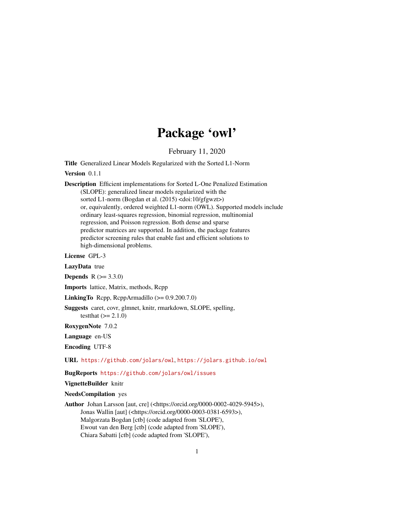# Package 'owl'

February 11, 2020

<span id="page-0-0"></span>Title Generalized Linear Models Regularized with the Sorted L1-Norm

Version 0.1.1

Description Efficient implementations for Sorted L-One Penalized Estimation (SLOPE): generalized linear models regularized with the sorted L1-norm (Bogdan et al. (2015) <doi:10/gfgwzt>) or, equivalently, ordered weighted L1-norm (OWL). Supported models include ordinary least-squares regression, binomial regression, multinomial regression, and Poisson regression. Both dense and sparse predictor matrices are supported. In addition, the package features predictor screening rules that enable fast and efficient solutions to high-dimensional problems.

License GPL-3

LazyData true

**Depends** R  $(>= 3.3.0)$ 

Imports lattice, Matrix, methods, Rcpp

LinkingTo Rcpp, RcppArmadillo (>= 0.9.200.7.0)

Suggests caret, covr, glmnet, knitr, rmarkdown, SLOPE, spelling, testthat  $(>= 2.1.0)$ 

RoxygenNote 7.0.2

Language en-US

Encoding UTF-8

URL <https://github.com/jolars/owl>, <https://jolars.github.io/owl>

BugReports <https://github.com/jolars/owl/issues>

VignetteBuilder knitr

NeedsCompilation yes

Author Johan Larsson [aut, cre] (<https://orcid.org/0000-0002-4029-5945>), Jonas Wallin [aut] (<https://orcid.org/0000-0003-0381-6593>), Malgorzata Bogdan [ctb] (code adapted from 'SLOPE'), Ewout van den Berg [ctb] (code adapted from 'SLOPE'), Chiara Sabatti [ctb] (code adapted from 'SLOPE'),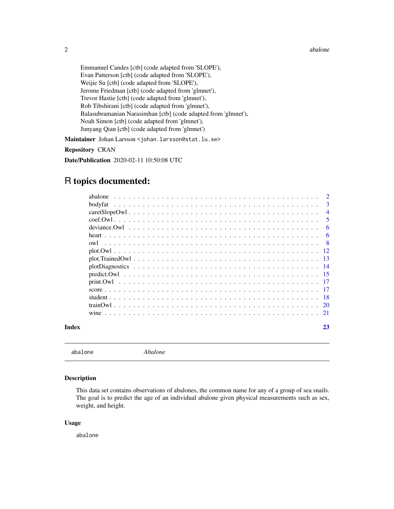#### <span id="page-1-0"></span>2 abalone and the state of the state of the state of the state of the state of the state of the state of the state of the state of the state of the state of the state of the state of the state of the state of the state of

Emmanuel Candes [ctb] (code adapted from 'SLOPE'), Evan Patterson [ctb] (code adapted from 'SLOPE'), Weijie Su [ctb] (code adapted from 'SLOPE'), Jerome Friedman [ctb] (code adapted from 'glmnet'), Trevor Hastie [ctb] (code adapted from 'glmnet'), Rob Tibshirani [ctb] (code adapted from 'glmnet'), Balasubramanian Narasimhan [ctb] (code adapted from 'glmnet'), Noah Simon [ctb] (code adapted from 'glmnet'), Junyang Qian [ctb] (code adapted from 'glmnet')

Maintainer Johan Larsson <johan.larsson@stat.lu.se>

### Repository CRAN

Date/Publication 2020-02-11 10:50:08 UTC

# R topics documented:

|       | abalone |                |
|-------|---------|----------------|
|       | bodyfat | 3              |
|       |         | $\overline{4}$ |
|       |         | 5              |
|       |         | 6              |
|       |         | 6              |
|       | owl     | - 8            |
|       |         |                |
|       |         |                |
|       |         |                |
|       |         |                |
|       |         |                |
|       |         | - 17           |
|       |         | -18            |
|       |         |                |
|       |         | - 21           |
| Index |         | 23             |
|       |         |                |

abalone *Abalone*

# Description

This data set contains observations of abalones, the common name for any of a group of sea snails. The goal is to predict the age of an individual abalone given physical measurements such as sex, weight, and height.

#### Usage

abalone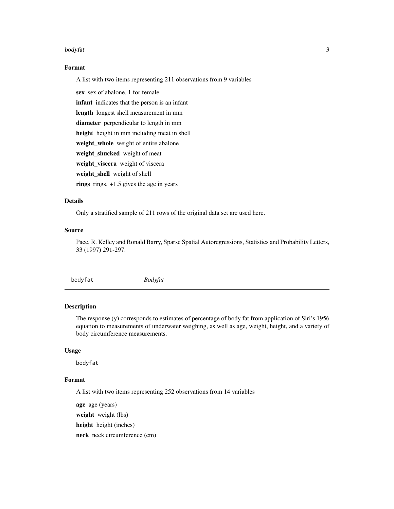#### <span id="page-2-0"></span>bodyfat 3

# Format

A list with two items representing 211 observations from 9 variables

sex sex of abalone, 1 for female

infant indicates that the person is an infant

length longest shell measurement in mm

diameter perpendicular to length in mm

height height in mm including meat in shell

weight\_whole weight of entire abalone

weight\_shucked weight of meat

weight\_viscera weight of viscera

weight\_shell weight of shell

rings rings.  $+1.5$  gives the age in years

# Details

Only a stratified sample of 211 rows of the original data set are used here.

#### Source

Pace, R. Kelley and Ronald Barry, Sparse Spatial Autoregressions, Statistics and Probability Letters, 33 (1997) 291-297.

bodyfat *Bodyfat*

# Description

The response (y) corresponds to estimates of percentage of body fat from application of Siri's 1956 equation to measurements of underwater weighing, as well as age, weight, height, and a variety of body circumference measurements.

#### Usage

bodyfat

### Format

A list with two items representing 252 observations from 14 variables

age age (years) weight weight (lbs) height height (inches)

neck neck circumference (cm)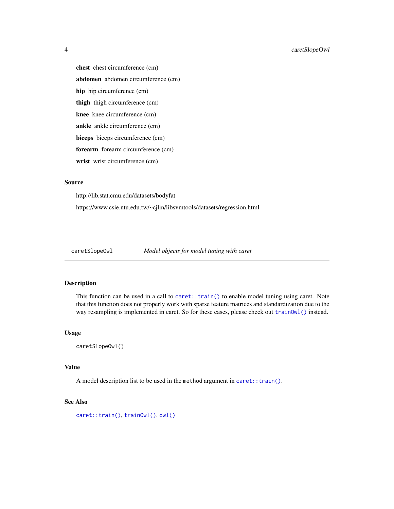chest chest circumference (cm) abdomen abdomen circumference (cm) hip hip circumference (cm) thigh thigh circumference (cm) knee knee circumference (cm) ankle ankle circumference (cm) biceps biceps circumference (cm) forearm forearm circumference (cm) wrist wrist circumference (cm)

# Source

http://lib.stat.cmu.edu/datasets/bodyfat

https://www.csie.ntu.edu.tw/~cjlin/libsvmtools/datasets/regression.html

caretSlopeOwl *Model objects for model tuning with caret*

#### Description

This function can be used in a call to  $\text{care}: \text{train}()$  to enable model tuning using caret. Note that this function does not properly work with sparse feature matrices and standardization due to the way resampling is implemented in caret. So for these cases, please check out [trainOwl\(\)](#page-19-1) instead.

### Usage

caretSlopeOwl()

# Value

A model description list to be used in the method argument in [caret::train\(\)](#page-0-0).

#### See Also

[caret::train\(\)](#page-0-0), [trainOwl\(\)](#page-19-1), [owl\(\)](#page-7-1)

<span id="page-3-0"></span>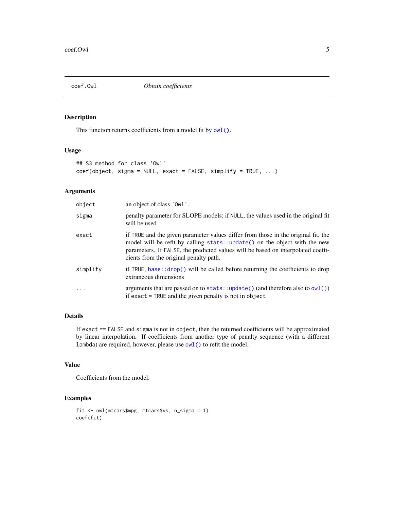<span id="page-4-1"></span><span id="page-4-0"></span>

# Description

This function returns coefficients from a model fit by  $\text{owl}()$ .

#### Usage

```
## S3 method for class 'Owl'
coef(object, sigma = NULL, exact = FALSE, simplify = TRUE, ...)
```
# Arguments

| object   | an object of class 'Owl'.                                                                                                                                                                                                                                                                    |
|----------|----------------------------------------------------------------------------------------------------------------------------------------------------------------------------------------------------------------------------------------------------------------------------------------------|
| sigma    | penalty parameter for SLOPE models; if NULL, the values used in the original fit<br>will be used                                                                                                                                                                                             |
| exact    | if TRUE and the given parameter values differ from those in the original fit, the<br>model will be refit by calling stats::update() on the object with the new<br>parameters. If FALSE, the predicted values will be based on interpolated coeffi-<br>cients from the original penalty path. |
| simplify | if TRUE, base: $\text{drop}()$ will be called before returning the coefficients to drop<br>extraneous dimensions                                                                                                                                                                             |
| $\cdots$ | arguments that are passed on to $stats::update()$ (and therefore also to $owl()$ )<br>if exact $=$ TRUE and the given penalty is not in object                                                                                                                                               |

# Details

If exact == FALSE and sigma is not in object, then the returned coefficients will be approximated by linear interpolation. If coefficients from another type of penalty sequence (with a different lambda) are required, however, please use [owl\(\)](#page-7-1) to refit the model.

### Value

Coefficients from the model.

# Examples

```
fit <- owl(mtcars$mpg, mtcars$vs, n_sigma = 1)
coef(fit)
```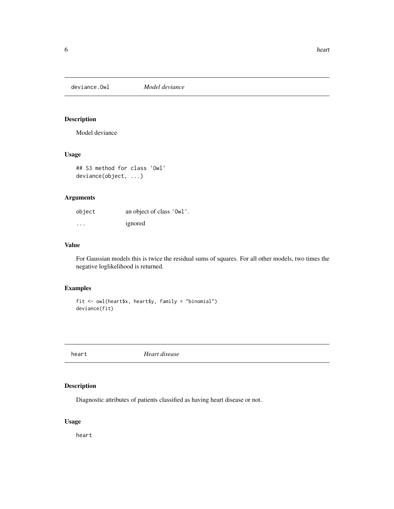<span id="page-5-0"></span>deviance.Owl *Model deviance*

# Description

Model deviance

# Usage

## S3 method for class 'Owl' deviance(object, ...)

# Arguments

| object   | an object of class 'Owl'. |
|----------|---------------------------|
| $\cdots$ | ignored                   |

# Value

For Gaussian models this is twice the residual sums of squares. For all other models, two times the negative loglikelihood is returned.

# Examples

```
fit <- owl(heart$x, heart$y, family = "binomial")
deviance(fit)
```
heart *Heart disease*

# Description

Diagnostic attributes of patients classified as having heart disease or not.

# Usage

heart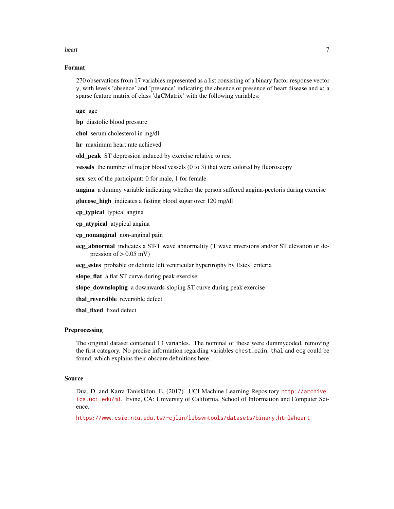#### heart 7 and 7 and 7 and 7 and 7 and 7 and 7 and 7 and 7 and 7 and 7 and 7 and 7 and 7 and 7 and 7 and 7 and 7 and 7 and 7 and 7 and 7 and 7 and 7 and 7 and 7 and 7 and 7 and 7 and 7 and 7 and 7 and 7 and 7 and 7 and 7 and

# Format

270 observations from 17 variables represented as a list consisting of a binary factor response vector y, with levels 'absence' and 'presence' indicating the absence or presence of heart disease and x: a sparse feature matrix of class 'dgCMatrix' with the following variables:

age age

bp diastolic blood pressure

chol serum cholesterol in mg/dl

hr maximum heart rate achieved

old\_peak ST depression induced by exercise relative to rest

vessels the number of major blood vessels (0 to 3) that were colored by fluoroscopy

sex sex of the participant: 0 for male, 1 for female

angina a dummy variable indicating whether the person suffered angina-pectoris during exercise

glucose\_high indicates a fasting blood sugar over 120 mg/dl

cp\_typical typical angina

cp\_atypical atypical angina

cp\_nonanginal non-anginal pain

ecg\_abnormal indicates a ST-T wave abnormality (T wave inversions and/or ST elevation or depression of  $> 0.05$  mV)

ecg\_estes probable or definite left ventricular hypertrophy by Estes' criteria

slope\_flat a flat ST curve during peak exercise

slope\_downsloping a downwards-sloping ST curve during peak exercise

thal\_reversible reversible defect

thal fixed fixed defect

#### **Preprocessing**

The original dataset contained 13 variables. The nominal of these were dummycoded, removing the first category. No precise information regarding variables chest\_pain, thal and ecg could be found, which explains their obscure definitions here.

#### Source

Dua, D. and Karra Taniskidou, E. (2017). UCI Machine Learning Repository [http://archive.](http://archive.ics.uci.edu/ml) [ics.uci.edu/ml](http://archive.ics.uci.edu/ml). Irvine, CA: University of California, School of Information and Computer Science.

<https://www.csie.ntu.edu.tw/~cjlin/libsvmtools/datasets/binary.html#heart>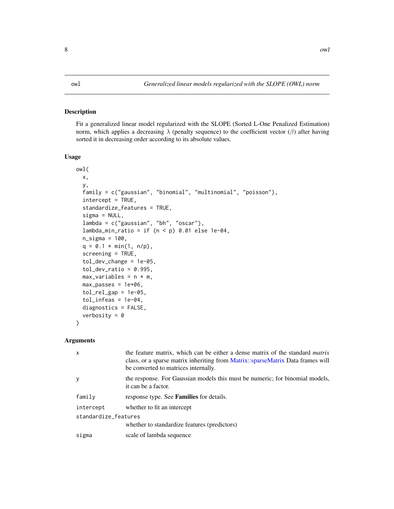#### <span id="page-7-1"></span><span id="page-7-0"></span>Description

Fit a generalized linear model regularized with the SLOPE (Sorted L-One Penalized Estimation) norm, which applies a decreasing  $\lambda$  (penalty sequence) to the coefficient vector ( $\beta$ ) after having sorted it in decreasing order according to its absolute values.

#### Usage

```
owl(
 x,
 y,
  family = c("gaussian", "binomial", "multinomial", "poisson"),
  intercept = TRUE,
  standardize_features = TRUE,
  signa = NULL,lambda = c("gaussian", "bh", "oscar"),lambda_min_ratio = if (n < p) 0.01 else 1e-04,
  n_sigma = 100,
 q = 0.1 * min(1, n/p),screening = TRUE,
  tol_dev_change = 1e-05,
  tol\_dev\_ratio = 0.995,max\_variables = n * m,max_{ }passes = 1e+06,
  tol_{rel\_gap} = 1e-05,
  tol_info as = 1e-04,diagnostics = FALSE,
  verbosity = 0)
```

| $\mathsf{x}$         | the feature matrix, which can be either a dense matrix of the standard <i>matrix</i><br>class, or a sparse matrix inheriting from Matrix::sparseMatrix Data frames will<br>be converted to matrices internally. |
|----------------------|-----------------------------------------------------------------------------------------------------------------------------------------------------------------------------------------------------------------|
| y                    | the response. For Gaussian models this must be numeric; for binomial models,<br>it can be a factor.                                                                                                             |
| family               | response type. See <b>Families</b> for details.                                                                                                                                                                 |
| intercept            | whether to fit an intercept                                                                                                                                                                                     |
| standardize_features |                                                                                                                                                                                                                 |
|                      | whether to standardize features (predictors)                                                                                                                                                                    |
| sigma                | scale of lambda sequence                                                                                                                                                                                        |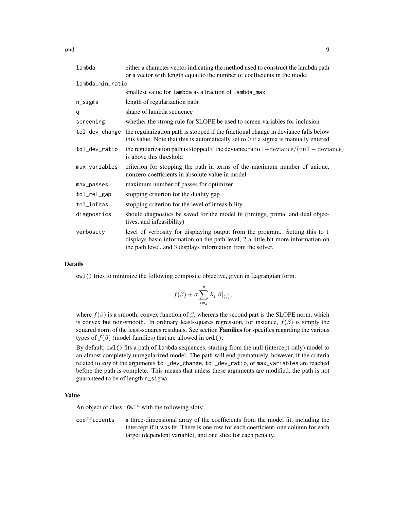owl 9

| lambda           | either a character vector indicating the method used to construct the lambda path<br>or a vector with length equal to the number of coefficients in the model                                                                   |  |
|------------------|---------------------------------------------------------------------------------------------------------------------------------------------------------------------------------------------------------------------------------|--|
| lambda_min_ratio |                                                                                                                                                                                                                                 |  |
|                  | smallest value for lambda as a fraction of lambda_max                                                                                                                                                                           |  |
| n_sigma          | length of regularization path                                                                                                                                                                                                   |  |
| q                | shape of lambda sequence                                                                                                                                                                                                        |  |
| screening        | whether the strong rule for SLOPE be used to screen variables for inclusion                                                                                                                                                     |  |
| tol_dev_change   | the regularization path is stopped if the fractional change in deviance falls below<br>this value. Note that this is automatically set to 0 if a sigma is manually entered                                                      |  |
| tol_dev_ratio    | the regularization path is stopped if the deviance ratio $1$ —deviance/(null — deviance)<br>is above this threshold                                                                                                             |  |
| max_variables    | criterion for stopping the path in terms of the maximum number of unique,<br>nonzero coefficients in absolute value in model                                                                                                    |  |
| max_passes       | maximum number of passes for optimizer                                                                                                                                                                                          |  |
| tol_rel_gap      | stopping criterion for the duality gap                                                                                                                                                                                          |  |
| tol_infeas       | stopping criterion for the level of infeasibility                                                                                                                                                                               |  |
| diagnostics      | should diagnostics be saved for the model fit (timings, primal and dual objec-<br>tives, and infeasibility)                                                                                                                     |  |
| verbosity        | level of verbosity for displaying output from the program. Setting this to 1<br>displays basic information on the path level, 2 a little bit more information on<br>the path level, and 3 displays information from the solver. |  |

# Details

owl() tries to minimize the following composite objective, given in Lagrangian form.

$$
f(\beta) + \sigma \sum_{i=j}^{p} \lambda_j |\beta|_{(j)},
$$

where  $f(\beta)$  is a smooth, convex function of  $\beta$ , whereas the second part is the SLOPE norm, which is convex but non-smooth. In ordinary least-squares regression, for instance,  $f(\beta)$  is simply the squared norm of the least-squares residuals. See section Families for specifics regarding the various types of  $f(\beta)$  (model families) that are allowed in owl().

By default, owl() fits a path of lambda sequences, starting from the null (intercept-only) model to an almost completely unregularized model. The path will end prematurely, however, if the criteria related to *any* of the arguments tol\_dev\_change, tol\_dev\_ratio, or max\_variables are reached before the path is complete. This means that unless these arguments are modified, the path is not guaranteed to be of length n\_sigma.

#### Value

An object of class "Owl" with the following slots:

coefficients a three-dimensional array of the coefficients from the model fit, including the intercept if it was fit. There is one row for each coefficient, one column for each target (dependent variable), and one slice for each penalty.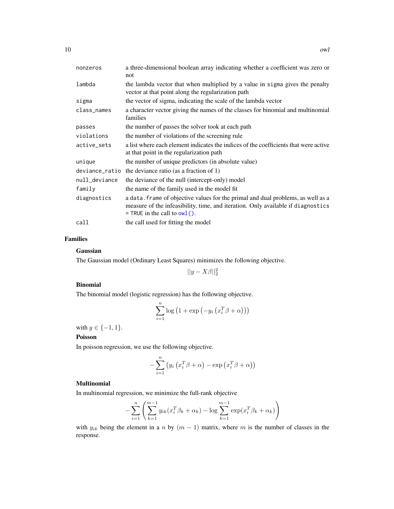<span id="page-9-0"></span>

| nonzeros       | a three-dimensional boolean array indicating whether a coefficient was zero or                                                                                                                         |
|----------------|--------------------------------------------------------------------------------------------------------------------------------------------------------------------------------------------------------|
|                | not                                                                                                                                                                                                    |
| lambda         | the lambda vector that when multiplied by a value in sigma gives the penalty<br>vector at that point along the regularization path                                                                     |
| sigma          | the vector of sigma, indicating the scale of the lambda vector                                                                                                                                         |
| class_names    | a character vector giving the names of the classes for binomial and multinomial<br>families                                                                                                            |
| passes         | the number of passes the solver took at each path                                                                                                                                                      |
| violations     | the number of violations of the screening rule                                                                                                                                                         |
| active_sets    | a list where each element indicates the indices of the coefficients that were active                                                                                                                   |
|                | at that point in the regularization path                                                                                                                                                               |
| unique         | the number of unique predictors (in absolute value)                                                                                                                                                    |
| deviance_ratio | the deviance ratio (as a fraction of 1)                                                                                                                                                                |
| null_deviance  | the deviance of the null (intercept-only) model                                                                                                                                                        |
| family         | the name of the family used in the model fit                                                                                                                                                           |
| diagnostics    | a data. frame of objective values for the primal and dual problems, as well as a<br>measure of the infeasibility, time, and iteration. Only available if diagnostics<br>$=$ TRUE in the call to owl(). |
| call           | the call used for fitting the model                                                                                                                                                                    |

# Families

#### Gaussian

The Gaussian model (Ordinary Least Squares) minimizes the following objective.

 $||y - X\beta||_2^2$ 

### Binomial

The binomial model (logistic regression) has the following objective.

$$
\sum_{i=1}^{n} \log (1 + \exp(-y_i(x_i^T \beta + \alpha)))
$$

with  $y \in \{-1, 1\}$ .

#### Poisson

In poisson regression, we use the following objective.

$$
-\sum_{i=1}^{n} (y_i (x_i^T \beta + \alpha) - \exp (x_i^T \beta + \alpha))
$$

# **Multinomial**

In multinomial regression, we minimize the full-rank objective

$$
-\sum_{i=1}^{n} \left( \sum_{k=1}^{m-1} y_{ik} (x_i^T \beta_k + \alpha_k) - \log \sum_{k=1}^{m-1} \exp(x_i^T \beta_k + \alpha_k) \right)
$$

with  $y_{ik}$  being the element in a n by  $(m - 1)$  matrix, where m is the number of classes in the response.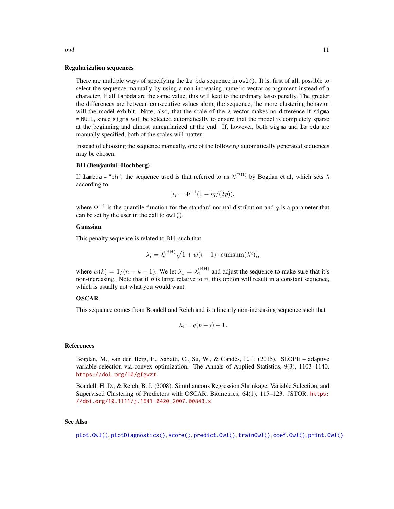#### Regularization sequences

There are multiple ways of specifying the lambda sequence in owl(). It is, first of all, possible to select the sequence manually by using a non-increasing numeric vector as argument instead of a character. If all lambda are the same value, this will lead to the ordinary lasso penalty. The greater the differences are between consecutive values along the sequence, the more clustering behavior will the model exhibit. Note, also, that the scale of the  $\lambda$  vector makes no difference if sigma = NULL, since sigma will be selected automatically to ensure that the model is completely sparse at the beginning and almost unregularized at the end. If, however, both sigma and lambda are manually specified, both of the scales will matter.

Instead of choosing the sequence manually, one of the following automatically generated sequences may be chosen.

#### BH (Benjamini–Hochberg)

If lambda = "bh", the sequence used is that referred to as  $\lambda^{\text{(BH)}}$  by Bogdan et al, which sets  $\lambda$ according to

$$
\lambda_i = \Phi^{-1}(1 - iq/(2p)),
$$

where  $\Phi^{-1}$  is the quantile function for the standard normal distribution and q is a parameter that can be set by the user in the call to owl().

#### Gaussian

This penalty sequence is related to BH, such that

$$
\lambda_i = \lambda_i^{\text{(BH)}} \sqrt{1 + w(i-1) \cdot \text{cumsum}(\lambda^2)_i},
$$

where  $w(k) = 1/(n - k - 1)$ . We let  $\lambda_1 = \lambda_1^{\text{(BH)}}$  and adjust the sequence to make sure that it's non-increasing. Note that if  $p$  is large relative to  $n$ , this option will result in a constant sequence, which is usually not what you would want.

#### OSCAR

This sequence comes from Bondell and Reich and is a linearly non-increasing sequence such that

$$
\lambda_i = q(p - i) + 1.
$$

#### References

Bogdan, M., van den Berg, E., Sabatti, C., Su, W., & Candès, E. J. (2015). SLOPE – adaptive variable selection via convex optimization. The Annals of Applied Statistics, 9(3), 1103–1140. <https://doi.org/10/gfgwzt>

Bondell, H. D., & Reich, B. J. (2008). Simultaneous Regression Shrinkage, Variable Selection, and Supervised Clustering of Predictors with OSCAR. Biometrics, 64(1), 115–123. JSTOR. [https:](https://doi.org/10.1111/j.1541-0420.2007.00843.x) [//doi.org/10.1111/j.1541-0420.2007.00843.x](https://doi.org/10.1111/j.1541-0420.2007.00843.x)

#### See Also

[plot.Owl\(\)](#page-11-1), [plotDiagnostics\(\)](#page-13-1), [score\(\)](#page-16-1), [predict.Owl\(\)](#page-14-1), [trainOwl\(\)](#page-19-1), [coef.Owl\(\)](#page-4-1), [print.Owl\(\)](#page-16-2)

<span id="page-10-0"></span>owl and the contract of the contract of the contract of the contract of the contract of the contract of the contract of the contract of the contract of the contract of the contract of the contract of the contract of the co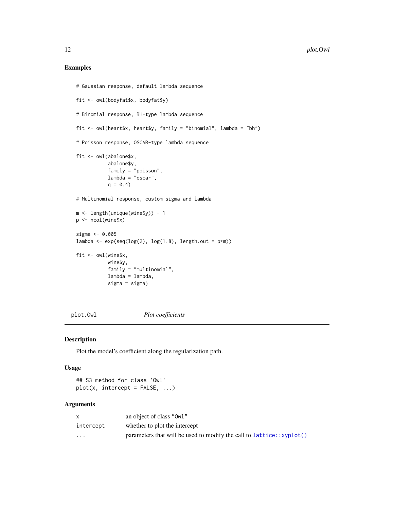# <span id="page-11-0"></span>Examples

```
# Gaussian response, default lambda sequence
fit <- owl(bodyfat$x, bodyfat$y)
# Binomial response, BH-type lambda sequence
fit <- owl(heart$x, heart$y, family = "binomial", lambda = "bh")
# Poisson response, OSCAR-type lambda sequence
fit <- owl(abalone$x,
           abalone$y,
           family = "poisson",
          lambda = "oscar",
           q = 0.4# Multinomial response, custom sigma and lambda
m <- length(unique(wine$y)) - 1
p <- ncol(wine$x)
sigma <- 0.005
lambda <- exp(seq(log(2), log(1.8), length.out = p*m))fit <- owl(wine$x,
          wine$y,
           family = "multinomial",
           lambda = lambda,
           sigma = sigma)
```
<span id="page-11-1"></span>plot.Owl *Plot coefficients*

# Description

Plot the model's coefficient along the regularization path.

#### Usage

## S3 method for class 'Owl'  $plot(x, intercept = FALSE, ...)$ 

|           | an object of class "Owl"                                               |
|-----------|------------------------------------------------------------------------|
| intercept | whether to plot the intercept                                          |
| $\cdots$  | parameters that will be used to modify the call to $lattice::xyplot()$ |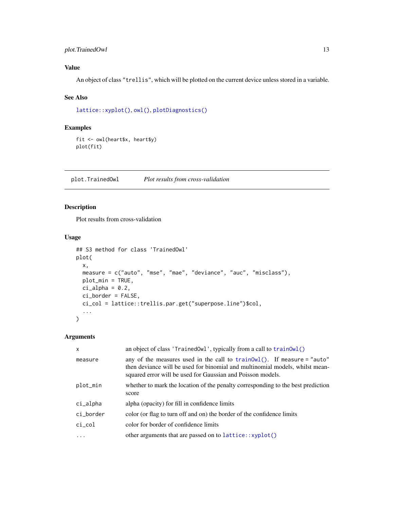# <span id="page-12-0"></span>plot.TrainedOwl 13

# Value

An object of class "trellis", which will be plotted on the current device unless stored in a variable.

# See Also

```
lattice::xyplot(), owl(), plotDiagnostics()
```
# Examples

```
fit <- owl(heart$x, heart$y)
plot(fit)
```
<span id="page-12-1"></span>plot.TrainedOwl *Plot results from cross-validation*

# Description

Plot results from cross-validation

# Usage

```
## S3 method for class 'TrainedOwl'
plot(
 x,
 measure = c("auto", "mse", "mae", "deviance", "auc", "misclass"),
 plot_min = TRUE,
 ci_alpha = 0.2,
 ci_border = FALSE,
  ci_col = lattice::trellis.par.get("superpose.line")$col,
  ...
)
```

| an object of class 'TrainedOwl', typically from a call to trainOwl()                                                                                                                                                              |  |
|-----------------------------------------------------------------------------------------------------------------------------------------------------------------------------------------------------------------------------------|--|
| any of the measures used in the call to train0wl(). If measure = "auto"<br>measure<br>then deviance will be used for binomial and multinomial models, whilst mean-<br>squared error will be used for Gaussian and Poisson models. |  |
| plot_min<br>whether to mark the location of the penalty corresponding to the best prediction<br>score                                                                                                                             |  |
| alpha (opacity) for fill in confidence limits<br>ci_alpha                                                                                                                                                                         |  |
| color (or flag to turn off and on) the border of the confidence limits<br>ci_border                                                                                                                                               |  |
| color for border of confidence limits<br>$ci_{col}$                                                                                                                                                                               |  |
| other arguments that are passed on to lattice::xyplot()<br>.                                                                                                                                                                      |  |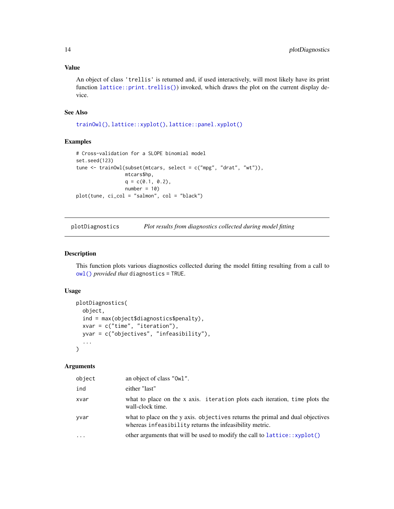# <span id="page-13-0"></span>Value

An object of class 'trellis' is returned and, if used interactively, will most likely have its print function [lattice::print.trellis\(\)](#page-0-0)) invoked, which draws the plot on the current display device.

#### See Also

[trainOwl\(\)](#page-19-1), [lattice::xyplot\(\)](#page-0-0), [lattice::panel.xyplot\(\)](#page-0-0)

# Examples

```
# Cross-validation for a SLOPE binomial model
set.seed(123)
tune <- trainOwl(subset(mtcars, select = c("mpg", "drat", "wt")),
                 mtcars$hp,
                 q = c(0.1, 0.2),
                 number = 10plot(tune, ci_col = "salmon", col = "black")
```
<span id="page-13-1"></span>plotDiagnostics *Plot results from diagnostics collected during model fitting*

# Description

This function plots various diagnostics collected during the model fitting resulting from a call to [owl\(\)](#page-7-1) *provided that* diagnostics = TRUE.

# Usage

```
plotDiagnostics(
  object,
  ind = max(object$diagnostics$penalty),
  xvar = c("time", "iteration"),
 yvar = c("objectives", "infeasibility"),
  ...
\mathcal{L}
```

| object   | an object of class "Owl".                                                                                                                 |
|----------|-------------------------------------------------------------------------------------------------------------------------------------------|
| ind      | either "last"                                                                                                                             |
| xvar     | what to place on the x axis. iteration plots each iteration, time plots the<br>wall-clock time.                                           |
| yvar     | what to place on the y axis. objectives returns the primal and dual objectives<br>whereas infeasibility returns the infeasibility metric. |
| $\cdots$ | other arguments that will be used to modify the call to $lattice::xyplot()$                                                               |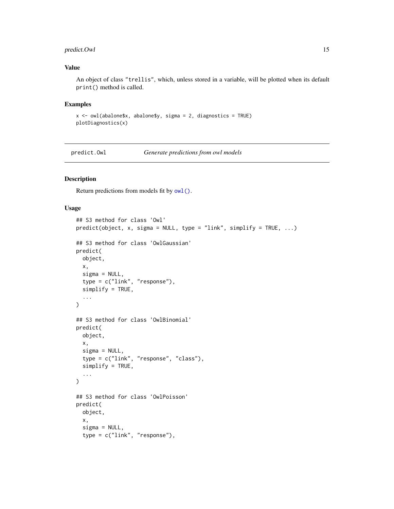# <span id="page-14-0"></span>predict.Owl 15

# Value

An object of class "trellis", which, unless stored in a variable, will be plotted when its default print() method is called.

#### Examples

```
x \le -\text{owl}(\text{abalone}\ x, \text{abalone}\ y, \text{sigma = 2, diagnostic = TRUE})plotDiagnostics(x)
```
<span id="page-14-1"></span>predict.Owl *Generate predictions from owl models*

#### Description

Return predictions from models fit by [owl\(\)](#page-7-1).

# Usage

```
## S3 method for class 'Owl'
predict(object, x, sigma = NULL, type = "link", simplify = TRUE, ...)
## S3 method for class 'OwlGaussian'
predict(
 object,
  x,
  sigma = NULL,
  type = c("link", "response"),
  simplify = TRUE,
  ...
\mathcal{L}## S3 method for class 'OwlBinomial'
predict(
  object,
 x,
  sigma = NULL,type = c("link", "response", "class"),
  simplify = TRUE,
  ...
)
## S3 method for class 'OwlPoisson'
predict(
 object,
  x,
  signa = NULL,type = c("link", "response"),
```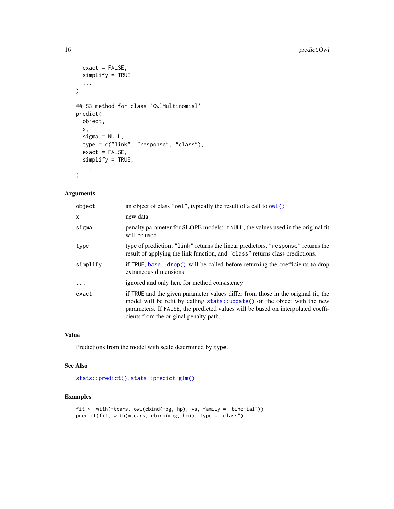```
exact = FALSE,simplify = TRUE,
  ...
\mathcal{L}## S3 method for class 'OwlMultinomial'
predict(
 object,
 x,
  signa = NULL,type = c("link", "response", "class"),
  exact = FALSE,
 simplify = TRUE,
  ...
)
```
## Arguments

| object       | an object of class "owl", typically the result of a call to owl ()                                                                                                                                                                                                                           |
|--------------|----------------------------------------------------------------------------------------------------------------------------------------------------------------------------------------------------------------------------------------------------------------------------------------------|
| $\mathsf{x}$ | new data                                                                                                                                                                                                                                                                                     |
| sigma        | penalty parameter for SLOPE models; if NULL, the values used in the original fit<br>will be used                                                                                                                                                                                             |
| type         | type of prediction; "link" returns the linear predictors, "response" returns the<br>result of applying the link function, and "class" returns class predictions.                                                                                                                             |
| simplify     | if TRUE, base:: $drop()$ will be called before returning the coefficients to drop<br>extraneous dimensions                                                                                                                                                                                   |
| $\ddotsc$    | ignored and only here for method consistency                                                                                                                                                                                                                                                 |
| exact        | if TRUE and the given parameter values differ from those in the original fit, the<br>model will be refit by calling stats::update() on the object with the new<br>parameters. If FALSE, the predicted values will be based on interpolated coeffi-<br>cients from the original penalty path. |

# Value

Predictions from the model with scale determined by type.

# See Also

[stats::predict\(\)](#page-0-0), [stats::predict.glm\(\)](#page-0-0)

# Examples

```
fit <- with(mtcars, owl(cbind(mpg, hp), vs, family = "binomial"))
predict(fit, with(mtcars, cbind(mpg, hp)), type = "class")
```
<span id="page-15-0"></span>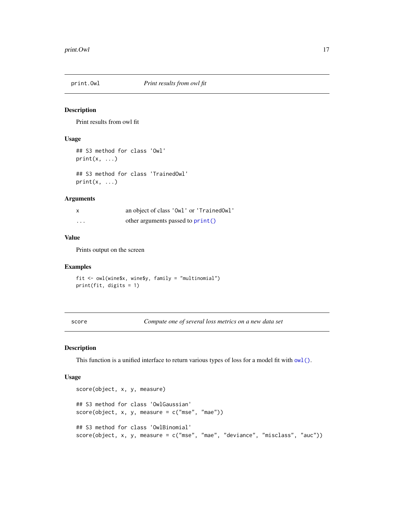<span id="page-16-2"></span><span id="page-16-0"></span>

# Description

Print results from owl fit

#### Usage

```
## S3 method for class 'Owl'
print(x, \ldots)
```
## S3 method for class 'TrainedOwl'  $print(x, \ldots)$ 

# Arguments

| x        | an object of class 'Owl' or 'TrainedOwl' |
|----------|------------------------------------------|
| $\cdots$ | other arguments passed to print()        |

# Value

Prints output on the screen

# Examples

fit <- owl(wine\$x, wine\$y, family = "multinomial") print(fit, digits = 1)

<span id="page-16-1"></span>score *Compute one of several loss metrics on a new data set*

#### Description

This function is a unified interface to return various types of loss for a model fit with [owl\(\)](#page-7-1).

#### Usage

```
score(object, x, y, measure)
## S3 method for class 'OwlGaussian'
score(object, x, y, measure = c("mse", "mae"))
## S3 method for class 'OwlBinomial'
score(object, x, y, measure = c("mse", "mae", "deviance", "misclass", "auc"))
```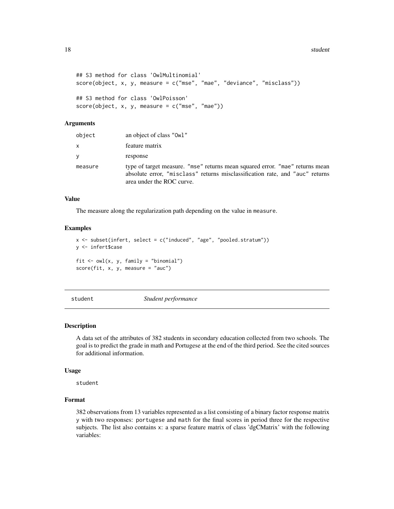#### <span id="page-17-0"></span>18 student with the state of the state of the state of the state of the state of the state of the state of the state of the state of the state of the state of the state of the state of the state of the state of the state o

```
## S3 method for class 'OwlMultinomial'
score(object, x, y, measure = c("mse", "mae", "deviance", "misclass"))
## S3 method for class 'OwlPoisson'
score(object, x, y, measure = c("mse", "mae"))
```
# Arguments

| object  | an object of class "Owl"                                                                                                                                                                  |
|---------|-------------------------------------------------------------------------------------------------------------------------------------------------------------------------------------------|
| x       | feature matrix                                                                                                                                                                            |
| V       | response                                                                                                                                                                                  |
| measure | type of target measure. "mse" returns mean squared error. "mae" returns mean<br>absolute error, "misclass" returns misclassification rate, and "auc" returns<br>area under the ROC curve. |

# Value

The measure along the regularization path depending on the value in measure.

#### Examples

```
x <- subset(infert, select = c("induced", "age", "pooled.stratum"))
y <- infert$case
fit \leq owl(x, y, family = "binomial")
score(fit, x, y, measure = "auc")
```
student *Student performance*

#### Description

A data set of the attributes of 382 students in secondary education collected from two schools. The goal is to predict the grade in math and Portugese at the end of the third period. See the cited sources for additional information.

#### Usage

student

# Format

382 observations from 13 variables represented as a list consisting of a binary factor response matrix y with two responses: portugese and math for the final scores in period three for the respective subjects. The list also contains x: a sparse feature matrix of class 'dgCMatrix' with the following variables: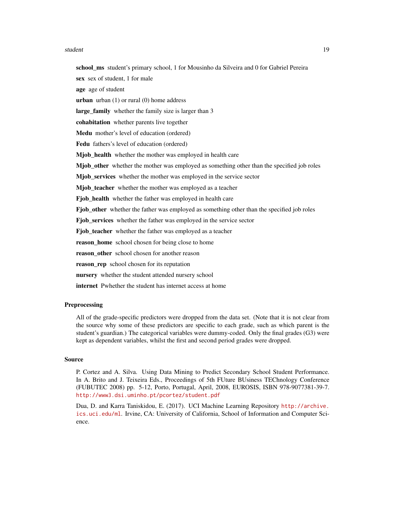#### student and the state of the state of the state of the state of the state of the state of the state of the state of the state of the state of the state of the state of the state of the state of the state of the state of th

school\_ms student's primary school, 1 for Mousinho da Silveira and 0 for Gabriel Pereira sex sex of student, 1 for male age age of student **urban** urban  $(1)$  or rural  $(0)$  home address large family whether the family size is larger than 3 cohabitation whether parents live together Medu mother's level of education (ordered) Fedu fathers's level of education (ordered) Mjob\_health whether the mother was employed in health care Mjob\_other whether the mother was employed as something other than the specified job roles Mjob\_services whether the mother was employed in the service sector Mjob\_teacher whether the mother was employed as a teacher Fjob\_health whether the father was employed in health care Fjob other whether the father was employed as something other than the specified job roles Fjob\_services whether the father was employed in the service sector Fjob\_teacher whether the father was employed as a teacher reason\_home school chosen for being close to home reason\_other school chosen for another reason reason\_rep school chosen for its reputation

nursery whether the student attended nursery school

internet Pwhether the student has internet access at home

#### **Preprocessing**

All of the grade-specific predictors were dropped from the data set. (Note that it is not clear from the source why some of these predictors are specific to each grade, such as which parent is the student's guardian.) The categorical variables were dummy-coded. Only the final grades (G3) were kept as dependent variables, whilst the first and second period grades were dropped.

#### Source

P. Cortez and A. Silva. Using Data Mining to Predict Secondary School Student Performance. In A. Brito and J. Teixeira Eds., Proceedings of 5th FUture BUsiness TEChnology Conference (FUBUTEC 2008) pp. 5-12, Porto, Portugal, April, 2008, EUROSIS, ISBN 978-9077381-39-7. <http://www3.dsi.uminho.pt/pcortez/student.pdf>

Dua, D. and Karra Taniskidou, E. (2017). UCI Machine Learning Repository [http://archive.](http://archive.ics.uci.edu/ml) [ics.uci.edu/ml](http://archive.ics.uci.edu/ml). Irvine, CA: University of California, School of Information and Computer Science.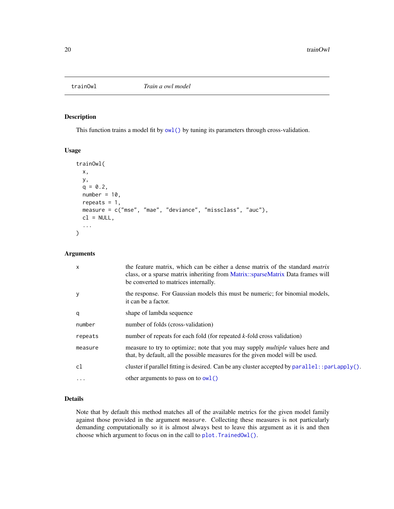<span id="page-19-1"></span><span id="page-19-0"></span>

# Description

This function trains a model fit by  $ow1()$  by tuning its parameters through cross-validation.

#### Usage

```
trainOwl(
 x,
 y,
 q = 0.2,
 number = 10,
 repeats = 1,
 measure = c("mse", "mae", "deviance", "missclass", "auc"),
 cl = NULL,...
)
```
# Arguments

| $\mathsf{x}$ | the feature matrix, which can be either a dense matrix of the standard <i>matrix</i><br>class, or a sparse matrix inheriting from Matrix::sparseMatrix Data frames will<br>be converted to matrices internally. |
|--------------|-----------------------------------------------------------------------------------------------------------------------------------------------------------------------------------------------------------------|
| y            | the response. For Gaussian models this must be numeric; for binomial models,<br>it can be a factor.                                                                                                             |
| q            | shape of lambda sequence                                                                                                                                                                                        |
| number       | number of folds (cross-validation)                                                                                                                                                                              |
| repeats      | number of repeats for each fold (for repeated $k$ -fold cross validation)                                                                                                                                       |
| measure      | measure to try to optimize; note that you may supply <i>multiple</i> values here and<br>that, by default, all the possible measures for the given model will be used.                                           |
| c1           | cluster if parallel fitting is desired. Can be any cluster accepted by $parallel:$ : $parLapply()$ .                                                                                                            |
| .            | other arguments to pass on to $\text{owl}()$                                                                                                                                                                    |

# Details

Note that by default this method matches all of the available metrics for the given model family against those provided in the argument measure. Collecting these measures is not particularly demanding computationally so it is almost always best to leave this argument as it is and then choose which argument to focus on in the call to [plot.TrainedOwl\(\)](#page-12-1).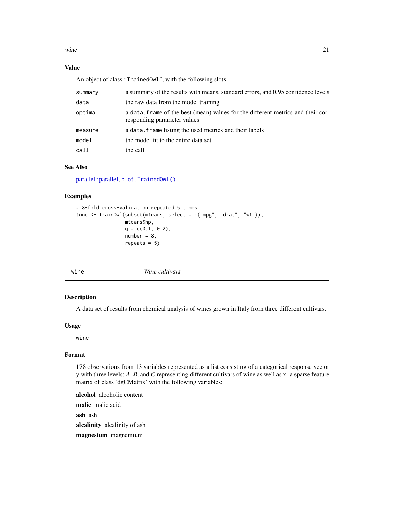<span id="page-20-0"></span>wine  $21$ 

# Value

An object of class "TrainedOwl", with the following slots:

| summary | a summary of the results with means, standard errors, and 0.95 confidence levels                                |
|---------|-----------------------------------------------------------------------------------------------------------------|
| data    | the raw data from the model training                                                                            |
| optima  | a data, frame of the best (mean) values for the different metrics and their cor-<br>responding parameter values |
| measure | a data. frame listing the used metrics and their labels                                                         |
| model   | the model fit to the entire data set                                                                            |
| call    | the call                                                                                                        |

# See Also

[parallel::parallel,](#page-0-0) [plot.TrainedOwl\(\)](#page-12-1)

# Examples

```
# 8-fold cross-validation repeated 5 times
tune <- trainOwl(subset(mtcars, select = c("mpg", "drat", "wt")),
                 mtcars$hp,
                 q = c(0.1, 0.2),
                 number = 8,
                 repeats = 5)
```
wine *Wine cultivars*

# Description

A data set of results from chemical analysis of wines grown in Italy from three different cultivars.

# Usage

wine

# Format

178 observations from 13 variables represented as a list consisting of a categorical response vector y with three levels: *A*, *B*, and *C* representing different cultivars of wine as well as x: a sparse feature matrix of class 'dgCMatrix' with the following variables:

alcohol alcoholic content malic malic acid ash ash alcalinity alcalinity of ash magnesium magnemium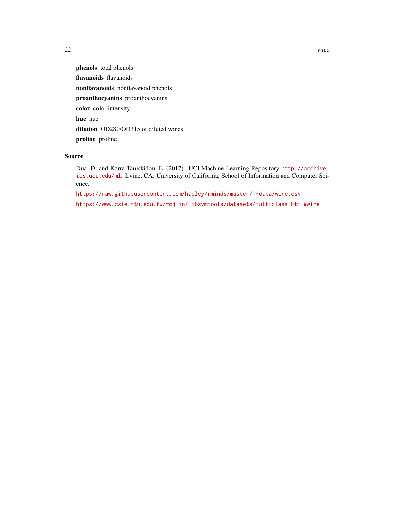phenols total phenols flavanoids flavanoids nonflavanoids nonflavanoid phenols proanthocyanins proanthocyanins color color intensity hue hue dilution OD280/OD315 of diluted wines proline proline

# Source

Dua, D. and Karra Taniskidou, E. (2017). UCI Machine Learning Repository [http://archive.](http://archive.ics.uci.edu/ml) [ics.uci.edu/ml](http://archive.ics.uci.edu/ml). Irvine, CA: University of California, School of Information and Computer Science.

<https://raw.githubusercontent.com/hadley/rminds/master/1-data/wine.csv>

<https://www.csie.ntu.edu.tw/~cjlin/libsvmtools/datasets/multiclass.html#wine>